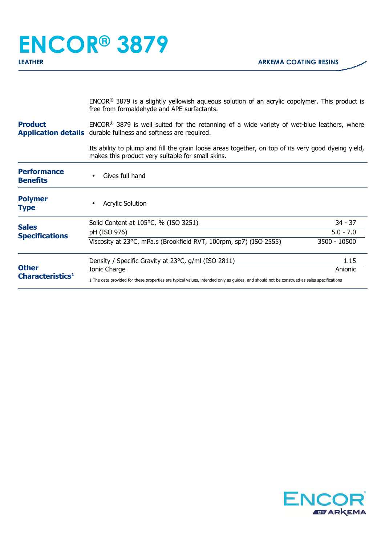## **ENCOR® 3879**

ENCOR® 3879 is a slightly yellowish aqueous solution of an acrylic copolymer. This product is free from formaldehyde and APE surfactants.

**Product Application details** durable fullness and softness are required. ENCOR® 3879 is well suited for the retanning of a wide variety of wet-blue leathers, where

> Its ability to plump and fill the grain loose areas together, on top of its very good dyeing yield, makes this product very suitable for small skins.

| <b>Performance</b><br><b>Benefits</b>        | Gives full hand                                                                                                                           |              |
|----------------------------------------------|-------------------------------------------------------------------------------------------------------------------------------------------|--------------|
| <b>Polymer</b><br><b>Type</b>                | <b>Acrylic Solution</b>                                                                                                                   |              |
| <b>Sales</b><br><b>Specifications</b>        | Solid Content at 105°C, % (ISO 3251)                                                                                                      | $34 - 37$    |
|                                              | pH (ISO 976)                                                                                                                              | $5.0 - 7.0$  |
|                                              | Viscosity at 23°C, mPa.s (Brookfield RVT, 100rpm, sp7) (ISO 2555)                                                                         | 3500 - 10500 |
| <b>Other</b><br>Characteristics <sup>1</sup> | Density / Specific Gravity at 23°C, g/ml (ISO 2811)                                                                                       | 1.15         |
|                                              | Ionic Charge                                                                                                                              | Anionic      |
|                                              | 1 The data provided for these properties are typical values, intended only as guides, and should not be construed as sales specifications |              |